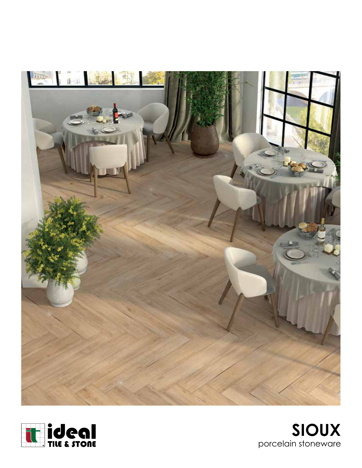



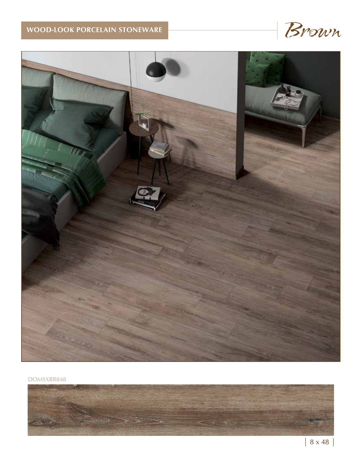



DOMSXBR848

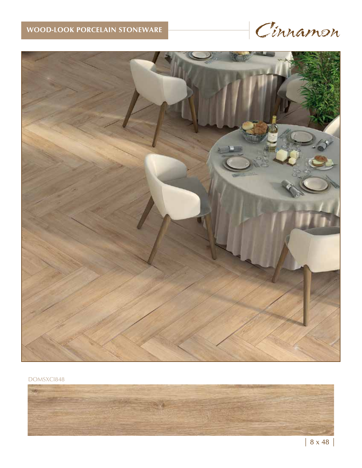



### DOMSXCI848

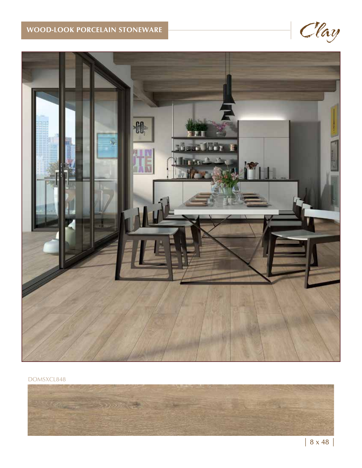



### DOMSXCL848

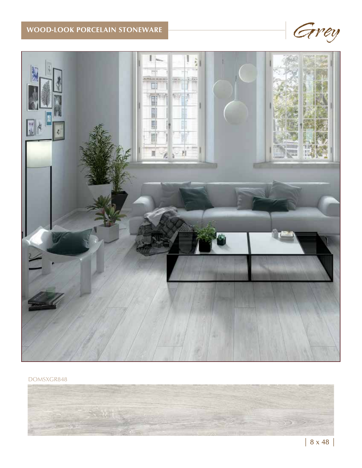



DOMSXGR848

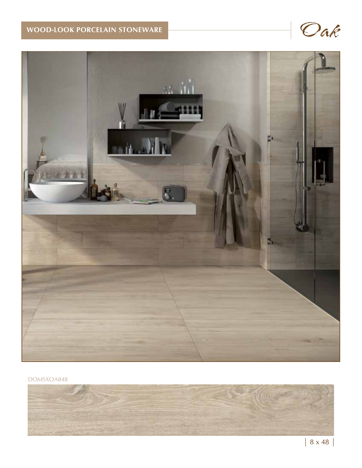

DOMSXOA848

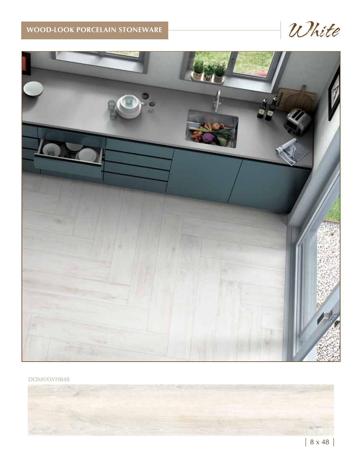

DOMSXWH848